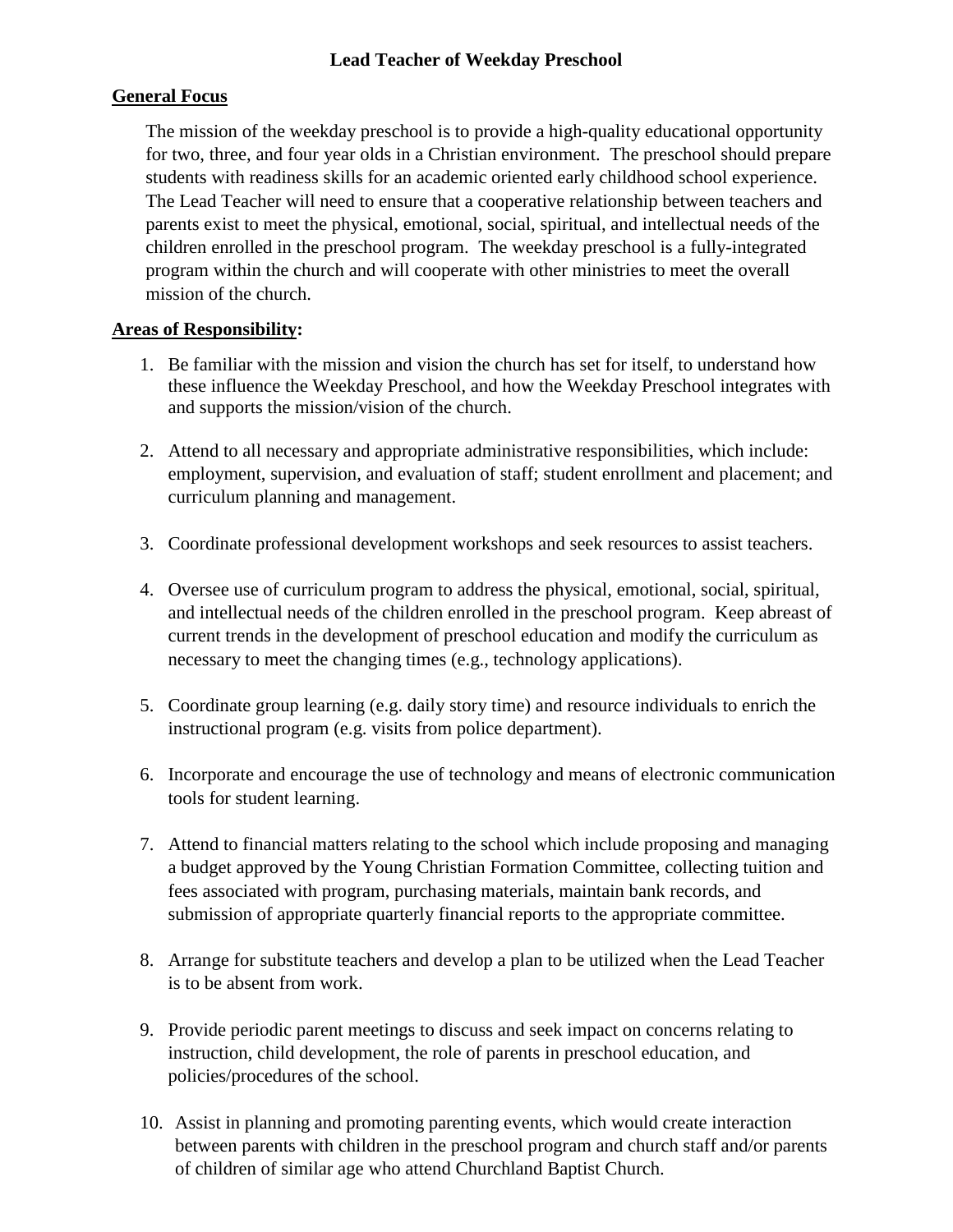# **General Focus**

The mission of the weekday preschool is to provide a high-quality educational opportunity for two, three, and four year olds in a Christian environment. The preschool should prepare students with readiness skills for an academic oriented early childhood school experience. The Lead Teacher will need to ensure that a cooperative relationship between teachers and parents exist to meet the physical, emotional, social, spiritual, and intellectual needs of the children enrolled in the preschool program. The weekday preschool is a fully-integrated program within the church and will cooperate with other ministries to meet the overall mission of the church.

# **Areas of Responsibility:**

- 1. Be familiar with the mission and vision the church has set for itself, to understand how these influence the Weekday Preschool, and how the Weekday Preschool integrates with and supports the mission/vision of the church.
- 2. Attend to all necessary and appropriate administrative responsibilities, which include: employment, supervision, and evaluation of staff; student enrollment and placement; and curriculum planning and management.
- 3. Coordinate professional development workshops and seek resources to assist teachers.
- 4. Oversee use of curriculum program to address the physical, emotional, social, spiritual, and intellectual needs of the children enrolled in the preschool program. Keep abreast of current trends in the development of preschool education and modify the curriculum as necessary to meet the changing times (e.g., technology applications).
- 5. Coordinate group learning (e.g. daily story time) and resource individuals to enrich the instructional program (e.g. visits from police department).
- 6. Incorporate and encourage the use of technology and means of electronic communication tools for student learning.
- 7. Attend to financial matters relating to the school which include proposing and managing a budget approved by the Young Christian Formation Committee, collecting tuition and fees associated with program, purchasing materials, maintain bank records, and submission of appropriate quarterly financial reports to the appropriate committee.
- 8. Arrange for substitute teachers and develop a plan to be utilized when the Lead Teacher is to be absent from work.
- 9. Provide periodic parent meetings to discuss and seek impact on concerns relating to instruction, child development, the role of parents in preschool education, and policies/procedures of the school.
- 10. Assist in planning and promoting parenting events, which would create interaction between parents with children in the preschool program and church staff and/or parents of children of similar age who attend Churchland Baptist Church.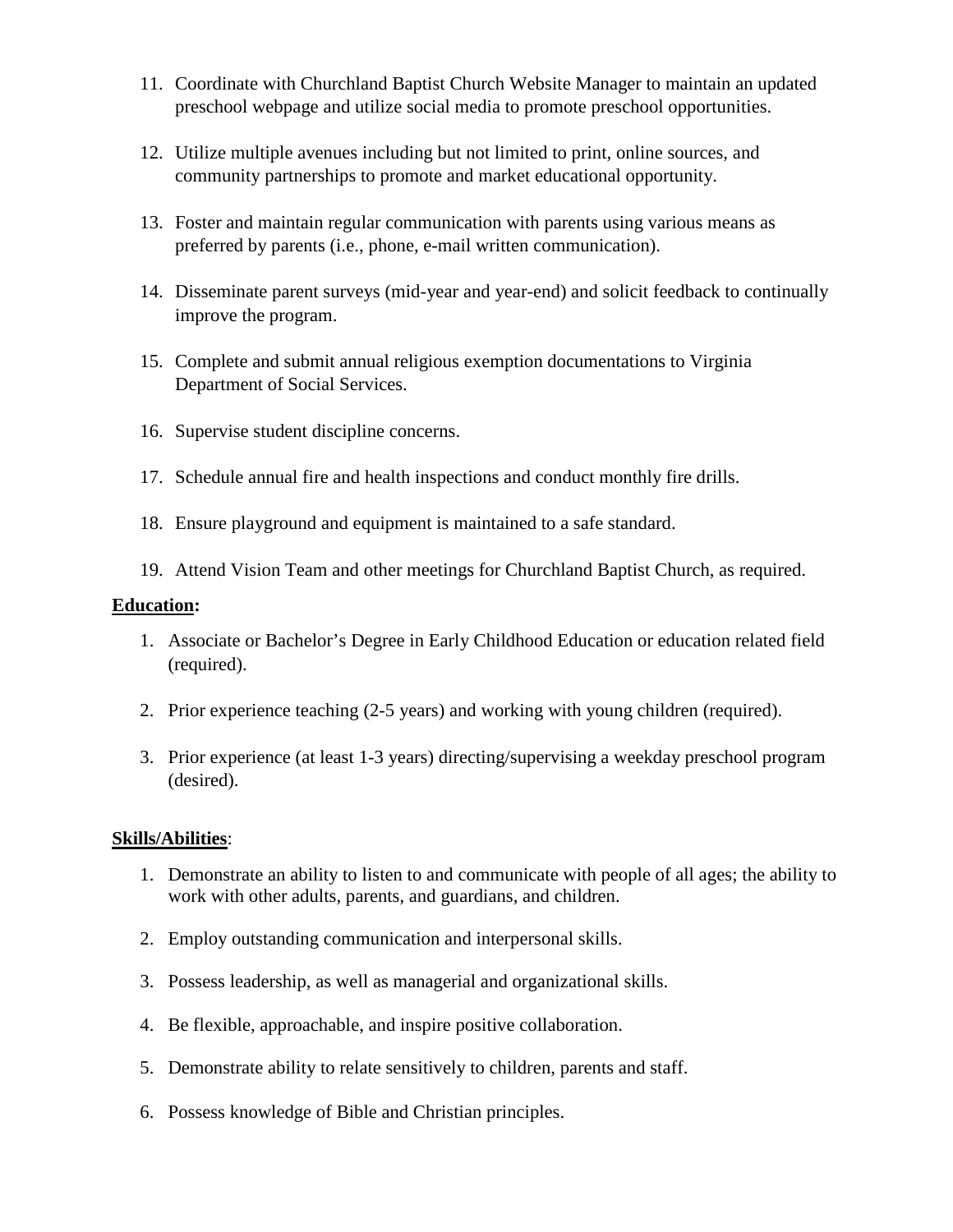- 11. Coordinate with Churchland Baptist Church Website Manager to maintain an updated preschool webpage and utilize social media to promote preschool opportunities.
- 12. Utilize multiple avenues including but not limited to print, online sources, and community partnerships to promote and market educational opportunity.
- 13. Foster and maintain regular communication with parents using various means as preferred by parents (i.e., phone, e-mail written communication).
- 14. Disseminate parent surveys (mid-year and year-end) and solicit feedback to continually improve the program.
- 15. Complete and submit annual religious exemption documentations to Virginia Department of Social Services.
- 16. Supervise student discipline concerns.
- 17. Schedule annual fire and health inspections and conduct monthly fire drills.
- 18. Ensure playground and equipment is maintained to a safe standard.
- 19. Attend Vision Team and other meetings for Churchland Baptist Church, as required.

#### **Education:**

- 1. Associate or Bachelor's Degree in Early Childhood Education or education related field (required).
- 2. Prior experience teaching (2-5 years) and working with young children (required).
- 3. Prior experience (at least 1-3 years) directing/supervising a weekday preschool program (desired).

### **Skills/Abilities**:

- 1. Demonstrate an ability to listen to and communicate with people of all ages; the ability to work with other adults, parents, and guardians, and children.
- 2. Employ outstanding communication and interpersonal skills.
- 3. Possess leadership, as well as managerial and organizational skills.
- 4. Be flexible, approachable, and inspire positive collaboration.
- 5. Demonstrate ability to relate sensitively to children, parents and staff.
- 6. Possess knowledge of Bible and Christian principles.